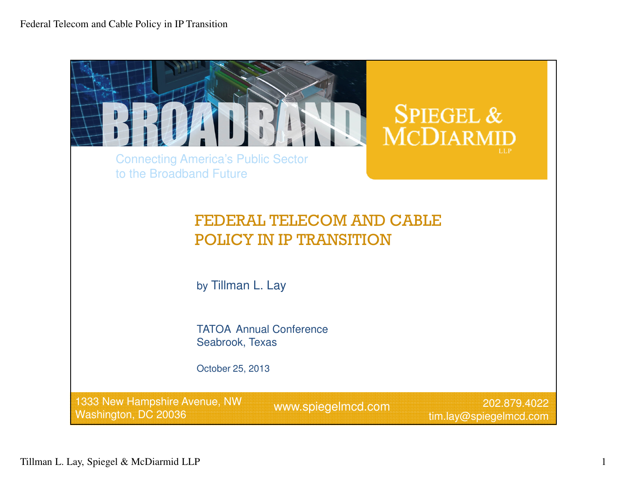Federal Telecom and Cable Policy in IP Transition

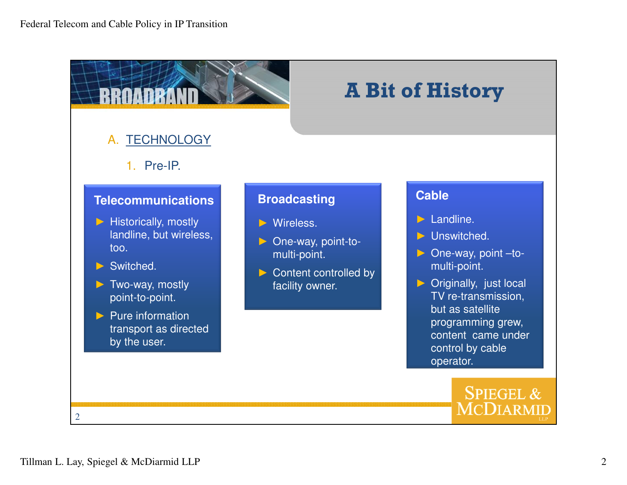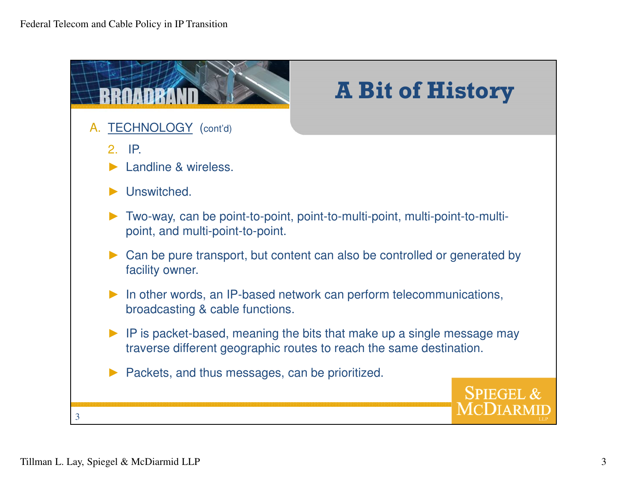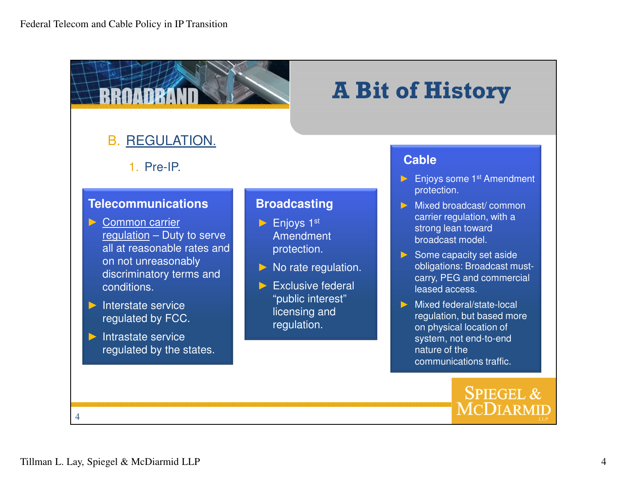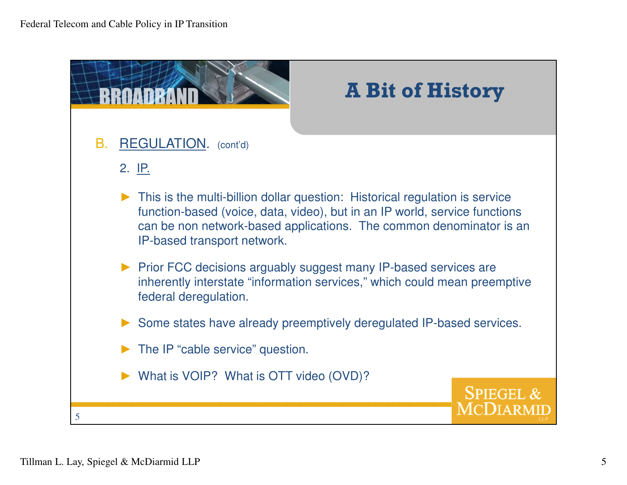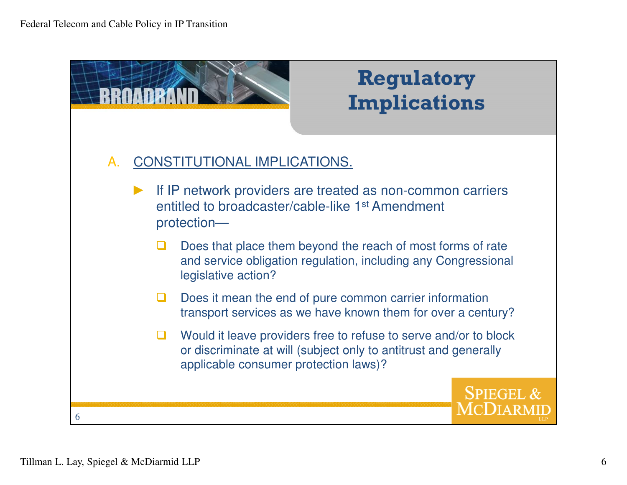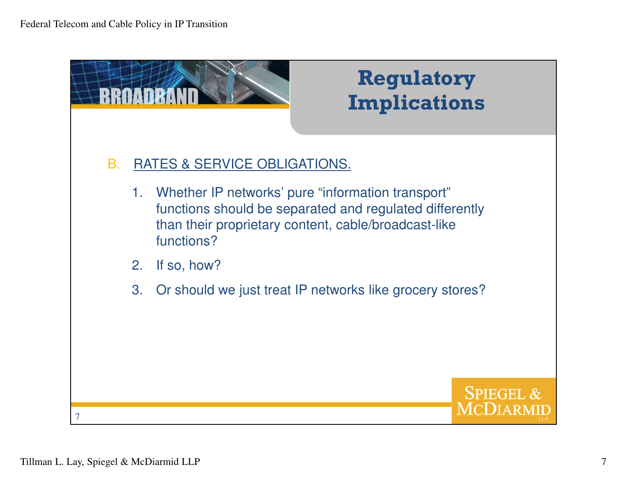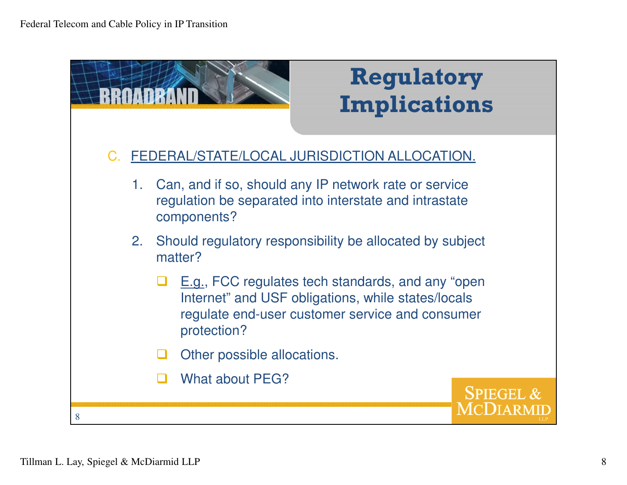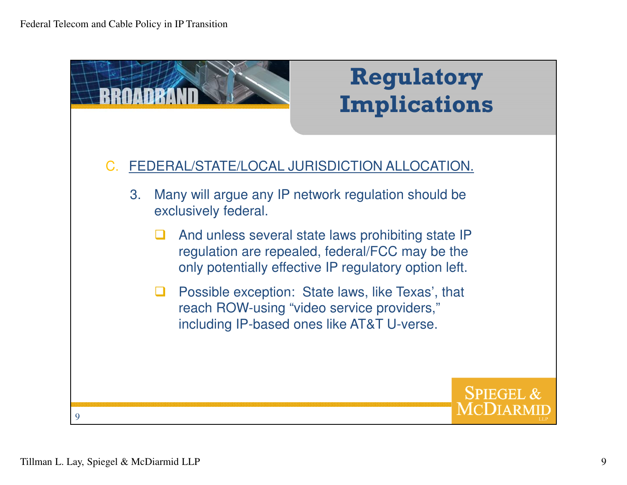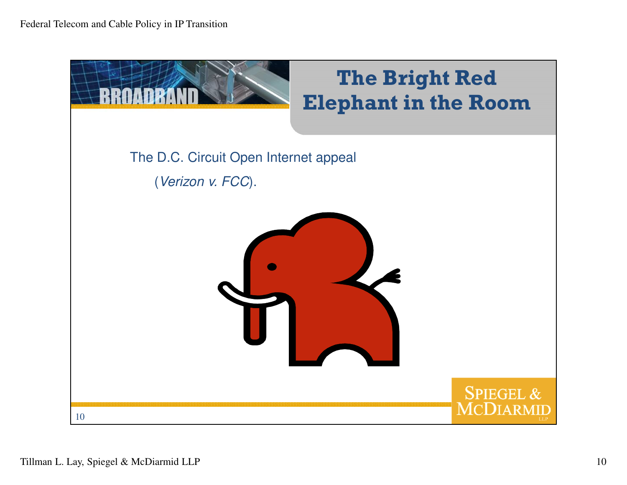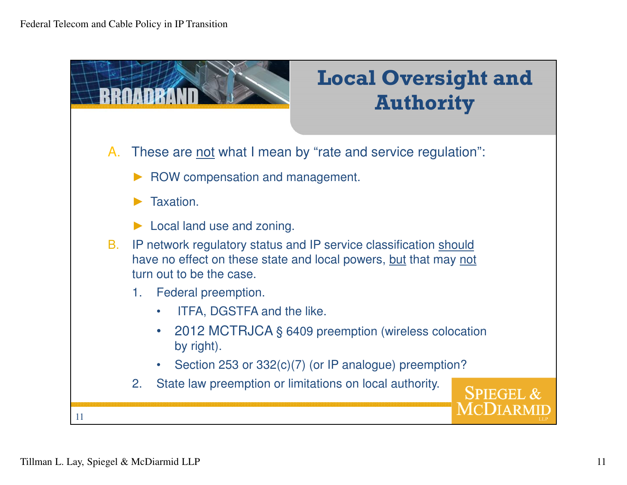